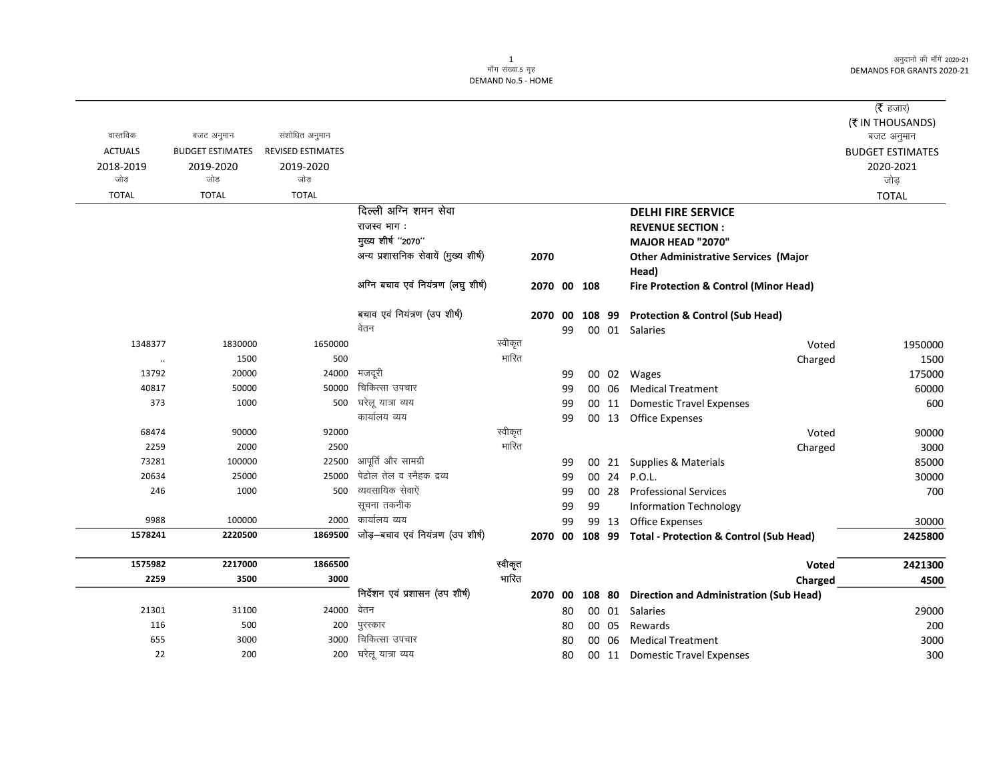अनुदानों की माँगें 2020-21 DEMANDS FOR GRANTS 2020-21

## 1<br>माँग संख्या.5 गृह DEMAND No.5 - HOME

|                |                         |                          |                                           |         |             |    |    |       |                                                        | (रै हजार)               |
|----------------|-------------------------|--------------------------|-------------------------------------------|---------|-------------|----|----|-------|--------------------------------------------------------|-------------------------|
|                |                         |                          |                                           |         |             |    |    |       |                                                        | (₹ IN THOUSANDS)        |
| वास्तविक       | बजट अनुमान              | संशोधित अनुमान           |                                           |         |             |    |    |       |                                                        | बजट अनुमान              |
| <b>ACTUALS</b> | <b>BUDGET ESTIMATES</b> | <b>REVISED ESTIMATES</b> |                                           |         |             |    |    |       |                                                        | <b>BUDGET ESTIMATES</b> |
| 2018-2019      | 2019-2020               | 2019-2020                |                                           |         |             |    |    |       |                                                        | 2020-2021               |
| जोड            | जोड                     | जोड                      |                                           |         |             |    |    |       |                                                        | जोड                     |
| <b>TOTAL</b>   | <b>TOTAL</b>            | <b>TOTAL</b>             |                                           |         |             |    |    |       |                                                        | <b>TOTAL</b>            |
|                |                         |                          | दिल्ली अग्नि शमन सेवा                     |         |             |    |    |       | <b>DELHI FIRE SERVICE</b>                              |                         |
|                |                         |                          | राजस्व भाग:                               |         |             |    |    |       | <b>REVENUE SECTION:</b>                                |                         |
|                |                         |                          | मुख्य शीर्ष "2070"                        |         |             |    |    |       | <b>MAJOR HEAD "2070"</b>                               |                         |
|                |                         |                          | अन्य प्रशासनिक सेवायें (मुख्य शीर्ष)      |         | 2070        |    |    |       | <b>Other Administrative Services (Major</b>            |                         |
|                |                         |                          |                                           |         |             |    |    |       | Head)                                                  |                         |
|                |                         |                          | अग्नि बचाव एवं नियंत्रण (लघु शीर्ष)       |         | 2070 00 108 |    |    |       | <b>Fire Protection &amp; Control (Minor Head)</b>      |                         |
|                |                         |                          | बचाव एवं नियंत्रण (उप शीर्ष)              |         | 2070 00     |    |    |       | 108 99 Protection & Control (Sub Head)                 |                         |
|                |                         |                          | वेतन                                      |         |             | 99 |    |       | 00 01 Salaries                                         |                         |
| 1348377        | 1830000                 | 1650000                  |                                           | स्वीकृत |             |    |    |       | Voted                                                  | 1950000                 |
| $\cdot\cdot$   | 1500                    | 500                      |                                           | भारित   |             |    |    |       | Charged                                                | 1500                    |
| 13792          | 20000                   | 24000                    | मजदूरी                                    |         |             | 99 |    |       | 00 02 Wages                                            | 175000                  |
| 40817          | 50000                   | 50000                    | चिकित्सा उपचार                            |         |             | 99 |    |       | 00 06 Medical Treatment                                | 60000                   |
| 373            | 1000                    | 500                      | घरेलू यात्रा व्यय                         |         |             | 99 |    |       | 00 11 Domestic Travel Expenses                         | 600                     |
|                |                         |                          | कार्यालय व्यय                             |         |             | 99 |    |       | 00 13 Office Expenses                                  |                         |
| 68474          | 90000                   | 92000                    |                                           | स्वीकृत |             |    |    |       | Voted                                                  | 90000                   |
| 2259           | 2000                    | 2500                     |                                           | भारित   |             |    |    |       | Charged                                                | 3000                    |
| 73281          | 100000                  | 22500                    | आपूर्ति और सामग्री                        |         |             | 99 |    |       | 00 21 Supplies & Materials                             | 85000                   |
| 20634          | 25000                   | 25000                    | पेद्रोल तेल व स्नैहक द्रव्य               |         |             | 99 |    |       | 00 24 P.O.L.                                           | 30000                   |
| 246            | 1000                    |                          | 500 व्यवसायिक सेवाऐं                      |         |             | 99 |    |       | 00 28 Professional Services                            | 700                     |
|                |                         |                          | सूचना तकनीक                               |         |             | 99 | 99 |       | <b>Information Technology</b>                          |                         |
| 9988           | 100000                  |                          | 2000 कार्यालय व्यय                        |         |             | 99 |    | 99 13 | Office Expenses                                        | 30000                   |
| 1578241        | 2220500                 |                          | 1869500 जोड़-बचाव एवं नियंत्रण (उप शीर्ष) |         |             |    |    |       | 2070 00 108 99 Total - Protection & Control (Sub Head) | 2425800                 |
| 1575982        | 2217000                 | 1866500                  |                                           | स्वीकृत |             |    |    |       | <b>Voted</b>                                           | 2421300                 |
| 2259           | 3500                    | 3000                     |                                           | भारित   |             |    |    |       | Charged                                                | 4500                    |
|                |                         |                          | निर्देशन एवं प्रशासन (उप शीर्ष)           |         |             |    |    |       | 2070 00 108 80 Direction and Administration (Sub Head) |                         |
| 21301          | 31100                   | 24000                    | वेतन                                      |         |             | 80 |    |       | 00 01 Salaries                                         | 29000                   |
| 116            | 500                     | 200                      | पुरस्कार                                  |         |             | 80 |    | 00 05 | Rewards                                                | 200                     |
| 655            | 3000                    | 3000                     | चिकित्सा उपचार                            |         |             | 80 |    | 00 06 | <b>Medical Treatment</b>                               | 3000                    |
| 22             | 200                     | 200                      | घरेलू यात्रा व्यय                         |         |             | 80 |    |       | 00 11 Domestic Travel Expenses                         | 300                     |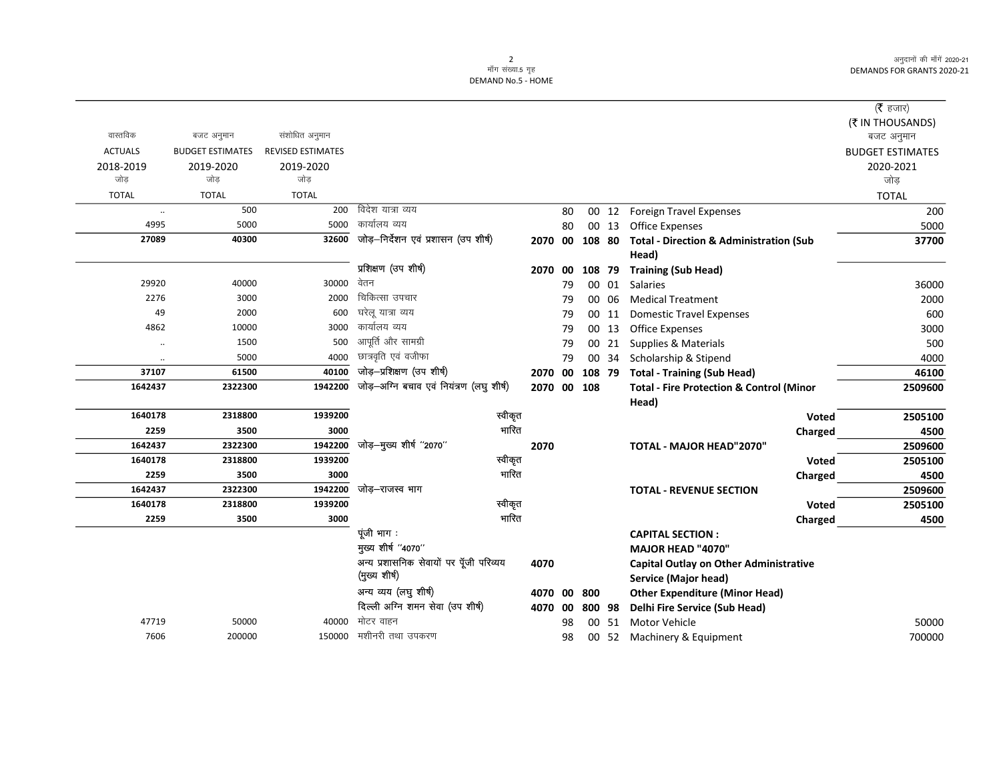अनुदानों की माँगें 2020-21 DEMANDS FOR GRANTS 2020-21

2<br>माँग संख्या.5 गृह DEMAND No.5 - HOME

|                      |                         |                          |                                                          |      |         |             |        |                                                                       | ( $\bar{\tau}$ हजार)    |
|----------------------|-------------------------|--------------------------|----------------------------------------------------------|------|---------|-------------|--------|-----------------------------------------------------------------------|-------------------------|
|                      |                         |                          |                                                          |      |         |             |        |                                                                       | (₹ IN THOUSANDS)        |
| वास्तविक             | बजट अनुमान              | संशोधित अनुमान           |                                                          |      |         |             |        |                                                                       | बजट अनुमान              |
| <b>ACTUALS</b>       | <b>BUDGET ESTIMATES</b> | <b>REVISED ESTIMATES</b> |                                                          |      |         |             |        |                                                                       | <b>BUDGET ESTIMATES</b> |
| 2018-2019            | 2019-2020               | 2019-2020                |                                                          |      |         |             |        |                                                                       | 2020-2021               |
| जोड                  | जोड                     | जोड                      |                                                          |      |         |             |        |                                                                       | जोड                     |
| <b>TOTAL</b>         | <b>TOTAL</b>            | <b>TOTAL</b>             |                                                          |      |         |             |        |                                                                       | <b>TOTAL</b>            |
| $\ldots$             | 500                     | 200                      | विदेश यात्रा व्यय                                        |      | 80      |             | 00 12  | <b>Foreign Travel Expenses</b>                                        | 200                     |
| 4995                 | 5000                    | 5000                     | कार्यालय व्यय                                            |      | 80      |             | 00 13  | <b>Office Expenses</b>                                                | 5000                    |
| 27089                | 40300                   | 32600                    | जोड़–निर्देशन एवं प्रशासन (उप शीर्ष)                     |      | 2070 00 |             | 108 80 | <b>Total - Direction &amp; Administration (Sub</b><br>Head)           | 37700                   |
|                      |                         |                          | प्रशिक्षण (उप शीर्ष)                                     |      | 2070 00 |             | 108 79 | <b>Training (Sub Head)</b>                                            |                         |
| 29920                | 40000                   | 30000                    | वेतन                                                     |      | 79      |             | 00 01  | <b>Salaries</b>                                                       | 36000                   |
| 2276                 | 3000                    | 2000                     | चिकित्सा उपचार                                           |      | 79      |             | 00 06  | <b>Medical Treatment</b>                                              | 2000                    |
| 49                   | 2000                    | 600                      | घरेलू यात्रा व्यय                                        |      | 79      |             | 00 11  | <b>Domestic Travel Expenses</b>                                       | 600                     |
| 4862                 | 10000                   |                          | 3000 कार्यालय व्यय                                       |      | 79      |             | 00 13  | <b>Office Expenses</b>                                                | 3000                    |
| $\ddot{\phantom{a}}$ | 1500                    | 500                      | आपूर्ति और सामग्री                                       |      | 79      |             | 00 21  | Supplies & Materials                                                  | 500                     |
| $\ddot{\phantom{0}}$ | 5000                    | 4000                     | छात्रवृति एवं वजीफा                                      |      | 79      |             | 00 34  | Scholarship & Stipend                                                 | 4000                    |
| 37107                | 61500                   | 40100                    | जोड़-प्रशिक्षण (उप शीर्ष)                                |      | 2070 00 |             | 108 79 | <b>Total - Training (Sub Head)</b>                                    | 46100                   |
| 1642437              | 2322300                 | 1942200                  | जोड़-अग्नि बचाव एवं नियंत्रण (लघु शीर्ष)                 |      |         | 2070 00 108 |        | <b>Total - Fire Protection &amp; Control (Minor</b>                   | 2509600                 |
|                      |                         |                          |                                                          |      |         |             |        | Head)                                                                 |                         |
| 1640178              | 2318800                 | 1939200                  | स्वीकृत                                                  |      |         |             |        | <b>Voted</b>                                                          | 2505100                 |
| 2259                 | 3500                    | 3000                     | भारित                                                    |      |         |             |        | Charged                                                               | 4500                    |
| 1642437              | 2322300                 | 1942200                  | जोड़-मुख्य शीर्ष "2070"                                  | 2070 |         |             |        | <b>TOTAL - MAJOR HEAD"2070"</b>                                       | 2509600                 |
| 1640178              | 2318800                 | 1939200                  | स्वीकृत                                                  |      |         |             |        | <b>Voted</b>                                                          | 2505100                 |
| 2259                 | 3500                    | 3000                     | भारित                                                    |      |         |             |        | Charged                                                               | 4500                    |
| 1642437              | 2322300                 | 1942200                  | जोड़–राजस्व भाग                                          |      |         |             |        | <b>TOTAL - REVENUE SECTION</b>                                        | 2509600                 |
| 1640178              | 2318800                 | 1939200                  | स्वीकृत                                                  |      |         |             |        | Voted                                                                 | 2505100                 |
| 2259                 | 3500                    | 3000                     | भारित                                                    |      |         |             |        | Charged                                                               | 4500                    |
|                      |                         |                          | पूंजी भाग:                                               |      |         |             |        | <b>CAPITAL SECTION:</b>                                               |                         |
|                      |                         |                          | मुख्य शीर्ष "4070"                                       |      |         |             |        | <b>MAJOR HEAD "4070"</b>                                              |                         |
|                      |                         |                          | अन्य प्रशासनिक सेवायों पर पूँजी परिव्यय<br>(मुख्य शीर्ष) | 4070 |         |             |        | <b>Capital Outlay on Other Administrative</b><br>Service (Major head) |                         |
|                      |                         |                          | अन्य व्यय (लघु शीर्ष)                                    |      | 4070 00 | 800         |        | <b>Other Expenditure (Minor Head)</b>                                 |                         |
|                      |                         |                          | दिल्ली अग्नि शमन सेवा (उप शीर्ष)                         |      | 4070 00 |             | 800 98 | Delhi Fire Service (Sub Head)                                         |                         |
| 47719                | 50000                   | 40000                    | मोटर वाहन                                                |      | 98      |             | 00 51  | <b>Motor Vehicle</b>                                                  | 50000                   |
| 7606                 | 200000                  | 150000                   | मशीनरी तथा उपकरण                                         |      | 98      |             | 00 52  | Machinery & Equipment                                                 | 700000                  |